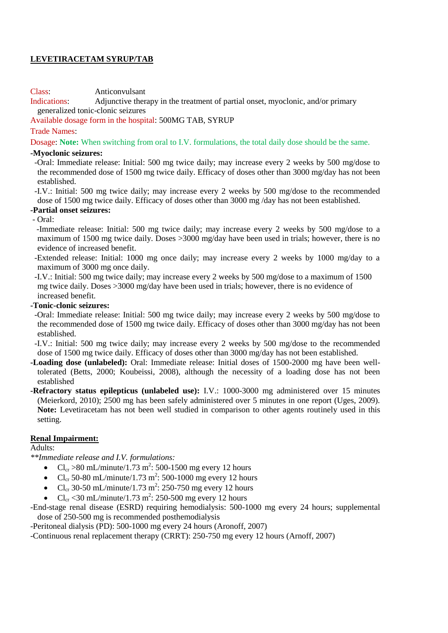## **LEVETIRACETAM SYRUP/TAB**

Class: Anticonvulsant

Indications: Adjunctive therapy in the treatment of partial onset, myoclonic, and/or primary generalized tonic-clonic seizures

Available dosage form in the hospital: 500MG TAB, SYRUP

#### Trade Names:

Dosage: **Note:** When switching from oral to I.V. formulations, the total daily dose should be the same.

#### **-Myoclonic seizures:**

 -Oral: Immediate release: Initial: 500 mg twice daily; may increase every 2 weeks by 500 mg/dose to the recommended dose of 1500 mg twice daily. Efficacy of doses other than 3000 mg/day has not been established.

 -I.V.: Initial: 500 mg twice daily; may increase every 2 weeks by 500 mg/dose to the recommended dose of 1500 mg twice daily. Efficacy of doses other than 3000 mg /day has not been established.

## **-Partial onset seizures:**

- Oral:

 -Immediate release: Initial: 500 mg twice daily; may increase every 2 weeks by 500 mg/dose to a maximum of 1500 mg twice daily. Doses >3000 mg/day have been used in trials; however, there is no evidence of increased benefit.

 -Extended release: Initial: 1000 mg once daily; may increase every 2 weeks by 1000 mg/day to a maximum of 3000 mg once daily.

 -I.V.: Initial: 500 mg twice daily; may increase every 2 weeks by 500 mg/dose to a maximum of 1500 mg twice daily. Doses >3000 mg/day have been used in trials; however, there is no evidence of increased benefit.

#### **-Tonic-clonic seizures:**

 -Oral: Immediate release: Initial: 500 mg twice daily; may increase every 2 weeks by 500 mg/dose to the recommended dose of 1500 mg twice daily. Efficacy of doses other than 3000 mg/day has not been established.

 -I.V.: Initial: 500 mg twice daily; may increase every 2 weeks by 500 mg/dose to the recommended dose of 1500 mg twice daily. Efficacy of doses other than 3000 mg/day has not been established.

**-Loading dose (unlabeled):** Oral: Immediate release: Initial doses of 1500-2000 mg have been welltolerated (Betts, 2000; Koubeissi, 2008), although the necessity of a loading dose has not been established

**-Refractory status epilepticus (unlabeled use):** I.V.: 1000-3000 mg administered over 15 minutes (Meierkord, 2010); 2500 mg has been safely administered over 5 minutes in one report (Uges, 2009). **Note:** Levetiracetam has not been well studied in comparison to other agents routinely used in this setting.

## **Renal Impairment:**

Adults:

*\*\*Immediate release and I.V. formulations:* 

- Cl<sub>cr</sub> > 80 mL/minute/1.73 m<sup>2</sup>: 500-1500 mg every 12 hours
- Cl<sub>cr</sub> 50-80 mL/minute/1.73 m<sup>2</sup>: 500-1000 mg every 12 hours
- Cl<sub>cr</sub> 30-50 mL/minute/1.73 m<sup>2</sup>: 250-750 mg every 12 hours
- Cl<sub>cr</sub> <30 mL/minute/1.73 m<sup>2</sup>: 250-500 mg every 12 hours

-End-stage renal disease (ESRD) requiring hemodialysis: 500-1000 mg every 24 hours; supplemental dose of 250-500 mg is recommended posthemodialysis

-Peritoneal dialysis (PD): 500-1000 mg every 24 hours (Aronoff, 2007)

-Continuous renal replacement therapy (CRRT): 250-750 mg every 12 hours (Arnoff, 2007)